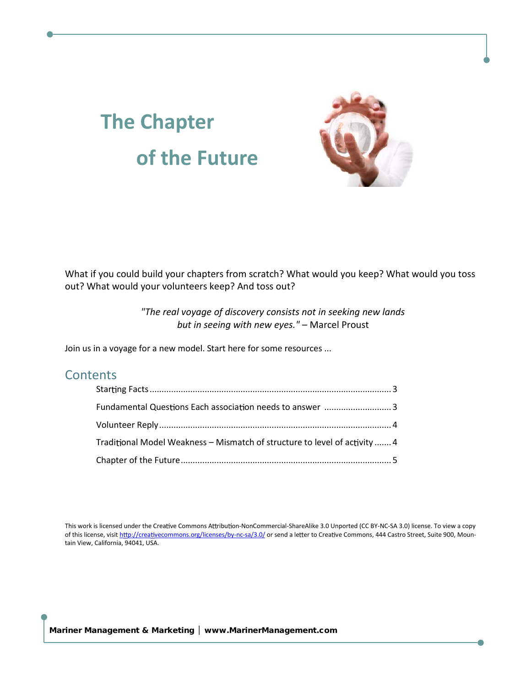# The Chapter of the Future

What if you could build your chapters from scratch? What woul out? What would your volunteers keep? And toss out?

> "The real voyage of discovery consists not in seekin but in seeing with Mhaenwe edy Pe so ust

Join us in a voyage for a new model. Start here for some resources

# Contents

| Fundamentaon Cosu Esach ao son comme de algunas werderstaged and supplying the university of the universe of the universe of the universe of the universe of the universe of the universe of the universe of the universe of t |  |
|--------------------------------------------------------------------------------------------------------------------------------------------------------------------------------------------------------------------------------|--|
|                                                                                                                                                                                                                                |  |
| Tradbinal Model WeMaksmeastch of structurevittoy. I gave I of ac                                                                                                                                                               |  |
|                                                                                                                                                                                                                                |  |

This work is licensed vuen Cloom the cries worded on Commo-Sharaia of Alike 3.0 UnpNoGStAed3 (CC)C libe Yeineswe.a Tocopy of this lice<u>nspe,//criseaiot.commons.org/l-ncesea/s3eos0</u>//bsyendear too Cvroe aCommons, 444 Castro Street, Suite tain View, California, 94041, USA.

Mariner Management & Marketing € www.M[arinerManagement.com](www.MarinerManagement.com)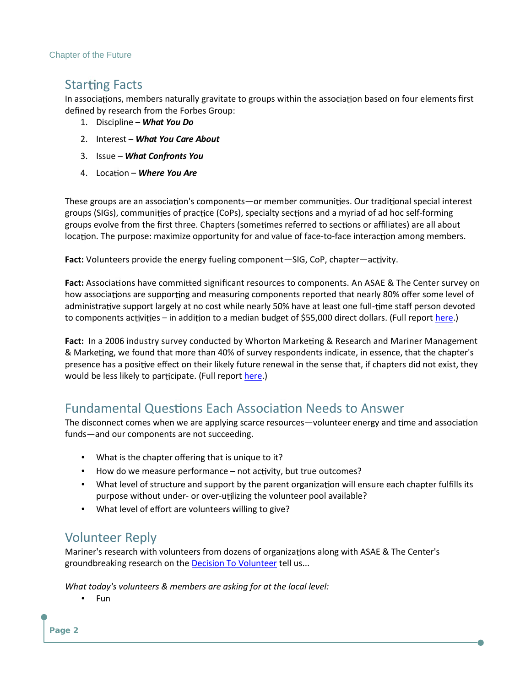**Chapter of the Future** 

# Stamg Facts

In assoconisa, members naturally gravitate to ognrobuapsse ow iothinfoluhree alos movemitae deûned by research from the Forbes Group:

- 1. DisciplWheat You Do
- 2. Intere Wthat You Care About
- 3. Issu&Vhat Confronts You
- 4. Locan Where You Are

These groups areona'ns acsosmonocoiane mni**s** m ber coems m **w**Dnuir otheadispecial interes groups (SIGs), escoomfmporonaiq(CoPs), spoemisa latyndseacm y riad of of ramdimlopc self groups evolve from the ûrst thmnee.resthearpreedorsto (soutomanê liates) are all abe locan. The purpose: maximize opportu-hoiftay cfeorinatomola or and on fermale ers.

Fac Yolunteers provide the energy SfluGe, li@ og Pc; ocontroparchitye.nt

FacAssocoinas have ceodmenigniu cant resources to components. An ASAE how assomsaare suppaond measuring components reported that nearly adminisvteras upport largely at no cost while neamhye 5s0 % a hpaevres cant bleeavsotte to componewitess and a dodnito a median budget of \$55,000 dhierest dollars.

Factn a 2006 industry survey conducnegd&b Re Alshartohna Midr Meariner Mar & Markeg, we found that more than 40% of survey respondents indica presence haveaepesit on their likely future renewal in the sense that would be less liokieplay toto (pFaurhler.o) port

#### FundamentaolnGsuEsach Aosns oNceivads to Answer

The disconnect comes when we are apoplluy nineges cean emagey easonodol acsonssos cia fundand our components are not succeeding.

- What is the chapter oû ering that is unique to it?
- How do we measure pheortfoarching, n beat true outcomes?
- What level of structure and supporothby it the epsaure entear change ter f purpose without und highling the volunteer pool available?
- What level of eû ort are volunteers willing to give?

# Volunteer Reply

Mariner's research with volunteers of momal obonzge wist to fAoSrAg ha Rez ahe Cente groundbreaking resue action Tto evellum seer

What today's volunteers & members are asking for at the local level  $\cdot$  Fun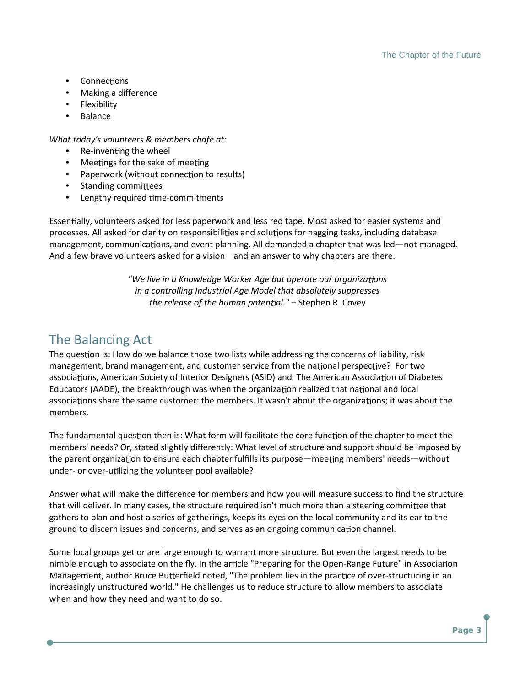- $\bullet$  Connections
- Making a difference
- Flexibility
- Balance

*What today's volunteers & members chafe at:*

- $\bullet$  Re-inventing the wheel
- $\bullet$  Meetings for the sake of meeting
- Paperwork (without connection to results)
- Standing committees
- Lengthy required time-commitments

Essentially, volunteers asked for less paperwork and less red tape. Most asked for easier systems and processes. All asked for clarity on responsibilities and solutions for nagging tasks, including database management, communications, and event planning. All demanded a chapter that was led—not managed. And a few brave volunteers asked for a vision—and an answer to why chapters are there.

> *"We live in a Knowledge Worker Age but operate our organizations in a controlling Industrial Age Model that absolutely suppresses the release of the human potential."* – Stephen R. Covey

## The Balancing Act

The question is: How do we balance those two lists while addressing the concerns of liability, risk management, brand management, and customer service from the national perspective? For two associations, American Society of Interior Designers (ASID) and The American Association of Diabetes Educators (AADE), the breakthrough was when the organization realized that national and local associations share the same customer: the members. It wasn't about the organizations; it was about the members.

The fundamental question then is: What form will facilitate the core function of the chapter to meet the members' needs? Or, stated slightly differently: What level of structure and support should be imposed by the parent organization to ensure each chapter fulfills its purpose—meeting members' needs—without under- or over-utilizing the volunteer pool available?

Answer what will make the difference for members and how you will measure success to find the structure that will deliver. In many cases, the structure required isn't much more than a steering committee that gathers to plan and host a series of gatherings, keeps its eyes on the local community and its ear to the ground to discern issues and concerns, and serves as an ongoing communication channel.

Some local groups get or are large enough to warrant more structure. But even the largest needs to be nimble enough to associate on the fly. In the article "Preparing for the Open-Range Future" in Association Management, author Bruce Butterfield noted, "The problem lies in the practice of over-structuring in an increasingly unstructured world." He challenges us to reduce structure to allow members to associate when and how they need and want to do so.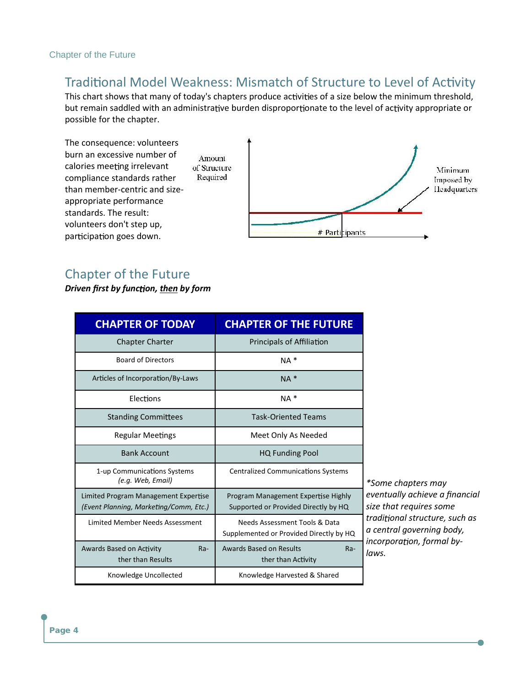#### Chapter of the Future

### Traditional Model Weakness: Mismatch of Structure to Level of Activity

This chart shows that many of today's chapters produce activities of a size below the minimum threshold, but remain saddled with an administrative burden disproportionate to the level of activity appropriate or possible for the chapter.



### Chapter of the Future

*Driven first by function, then by form* 

| <b>CHAPTER OF TODAY</b>                                                        | <b>CHAPTER OF THE FUTURE</b>                                                |                           |
|--------------------------------------------------------------------------------|-----------------------------------------------------------------------------|---------------------------|
| <b>Chapter Charter</b>                                                         | Principals of Affiliation                                                   |                           |
| <b>Board of Directors</b>                                                      | $NA *$                                                                      |                           |
| Articles of Incorporation/By-Laws                                              | $NA *$                                                                      |                           |
| Elections                                                                      | $NA *$                                                                      |                           |
| <b>Standing Committees</b>                                                     | <b>Task-Oriented Teams</b>                                                  |                           |
| <b>Regular Meetings</b>                                                        | Meet Only As Needed                                                         |                           |
| <b>Bank Account</b>                                                            | <b>HQ Funding Pool</b>                                                      |                           |
| 1-up Communications Systems<br>(e.g. Web, Email)                               | <b>Centralized Communications Systems</b>                                   | *Some ch                  |
| Limited Program Management Expertise<br>(Event Planning, Marketing/Comm, Etc.) | Program Management Expertise Highly<br>Supported or Provided Directly by HQ | eventually<br>size that r |
| Limited Member Needs Assessment                                                | Needs Assessment Tools & Data<br>Supplemented or Provided Directly by HQ    | traditiona<br>a central   |
| Awards Based on Activity<br>$Ra-$<br>ther than Results                         | Awards Based on Results<br>Ra-<br>ther than Activity                        | incorpora<br>laws.        |
| Knowledge Uncollected                                                          | Knowledge Harvested & Shared                                                |                           |

*\*Some chapters may eventually achieve a financial size that requires some tradi onal structure, such as a central governing body,* tion, formal by-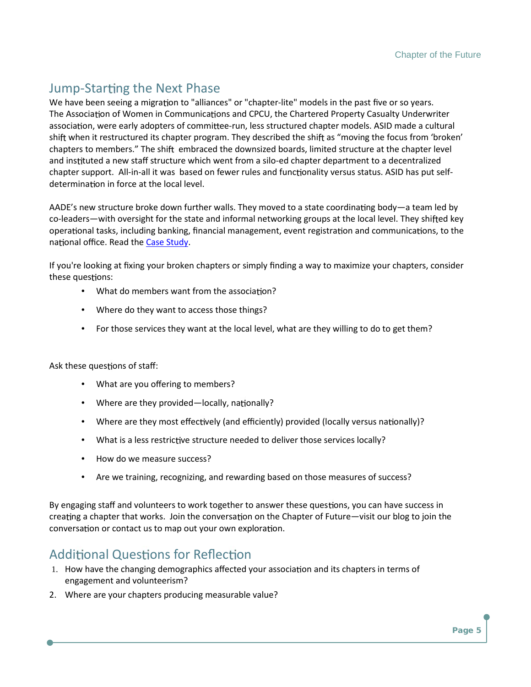#### Jum Stamg the Next Phase

We have been seedng to "mailgireances" -licte" omhaoteles in the past ûve or so ye The Assoncioaf Women in Commsmaumdc@PCU, the Chartered Property Casual assocoina, were early adopteeersum, flees is nistructured chapter models. ASID n shiwhen it restructured its chapter programs. Thibeying etshoerifto ecolusthforosmhi br chapters to memberse.m bTrhaeces on ithe downsized boards, limited structure and inusted a new staû structure wheidch how a ponte from enter to a decentral chapter suppipert. it Alwias based on fewoemranluithe sveams du stus tus. - ASID has p determiomain force at the local level.

AADE s new structure broke down further wallsngThes ay meaved ded by state coleade ws ith oversight for the state and informal networkine of groups at the local level. The state and informal networking of groups at operoanal tasks, including banking, ûnancialommaannadgemonenndungeinthreegistr naonal oûce. Roeande the Ludy

If you're looking at ûxing your broken chapters or simply ûnding a way  $the$ se qouness:

- What do members want from the associa
- Where do they want to access those things?
- $\cdot$  For those services they want at the local level, what are they w

 $Ask$  the seognegensies taû:

- What are you oû ering to members?
- Where are they  $|proxality \phi \text{ d}t$
- Where are they monedayt (enal nedce ciently) provide odn allol  $\mathfrak{p}$  ally versus na
- What is a les exerse transformed to deliver those services local
- How do we measure success?
- Are we training, recognizing, and rewarding based on those mea

By engaging staû and volunteers to work toomgse, thy onut coan have to the se sosuler  $c$ reag a chapter that works.  $o$ hoiom tthee c $\Omega$ may petres naigs fit Fountur helog to join the converosma or contact us to map out nyour own explora

### Addoinal Ques for Roemûec

- 1. How have the changing demographics a und cittes dow auptears sincitaerms of engagement and volunteerism?
- 2. Where are your chapters producing measurable value?